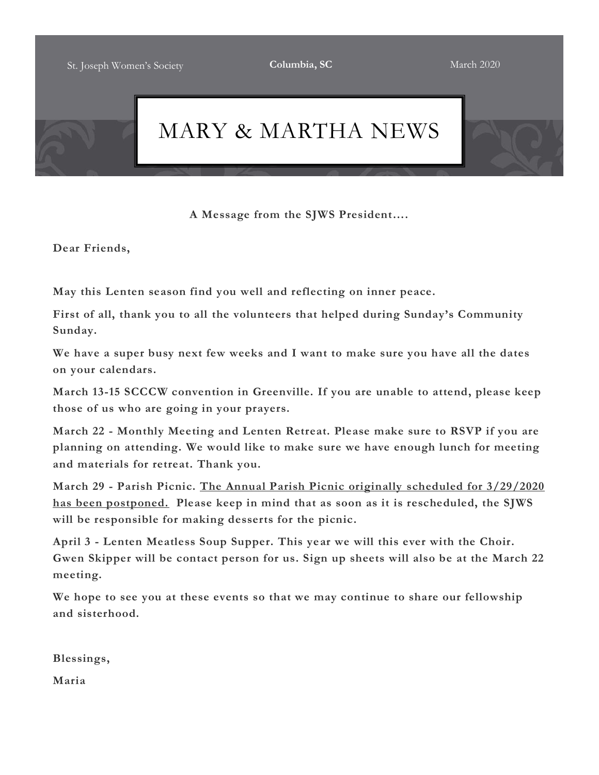

**A Message from the SJWS President….**

**Dear Friends,**

**May this Lenten season find you well and reflecting on inner peace.**

**First of all, thank you to all the volunteers that helped during Sunday's Community Sunday.**

**We have a super busy next few weeks and I want to make sure you have all the dates on your calendars.**

**March 13-15 SCCCW convention in Greenville. If you are unable to attend, please keep those of us who are going in your prayers.**

**March 22 - Monthly Meeting and Lenten Retreat. Please make sure to RSVP if you are planning on attending. We would like to make sure we have enough lunch for meeting and materials for retreat. Thank you.**

**March 29 - Parish Picnic. The Annual Parish Picnic originally scheduled for 3/29/2020 has been postponed. Please keep in mind that as soon as it is rescheduled, the SJWS will be responsible for making desserts for the picnic.**

**April 3 - Lenten Meatless Soup Supper. This year we will this ever with the Choir. Gwen Skipper will be contact person for us. Sign up sheets will also be at the March 22 meeting.**

**We hope to see you at these events so that we may continue to share our fellowship and sisterhood.**

**Blessings,**

**Maria**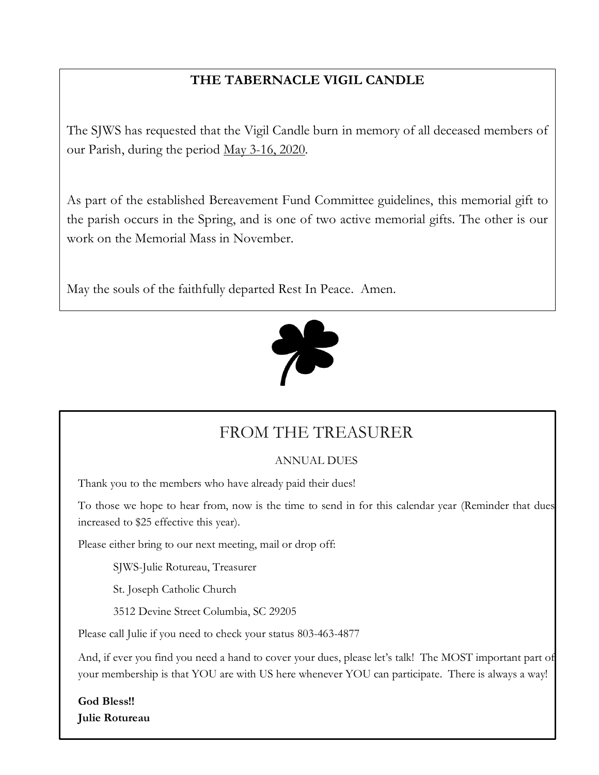## **THE TABERNACLE VIGIL CANDLE**

The SJWS has requested that the Vigil Candle burn in memory of all deceased members of our Parish, during the period May 3-16, 2020.

As part of the established Bereavement Fund Committee guidelines, this memorial gift to the parish occurs in the Spring, and is one of two active memorial gifts. The other is our work on the Memorial Mass in November.

May the souls of the faithfully departed Rest In Peace. Amen.



## FROM THE TREASURER

## ANNUAL DUES

Thank you to the members who have already paid their dues!

To those we hope to hear from, now is the time to send in for this calendar year (Reminder that dues increased to \$25 effective this year).

Please either bring to our next meeting, mail or drop off:

SJWS-Julie Rotureau, Treasurer

St. Joseph Catholic Church

3512 Devine Street Columbia, SC 29205

Please call Julie if you need to check your status 803-463-4877

And, if ever you find you need a hand to cover your dues, please let's talk! The MOST important part of your membership is that YOU are with US here whenever YOU can participate. There is always a way!

**God Bless!! Julie Rotureau**